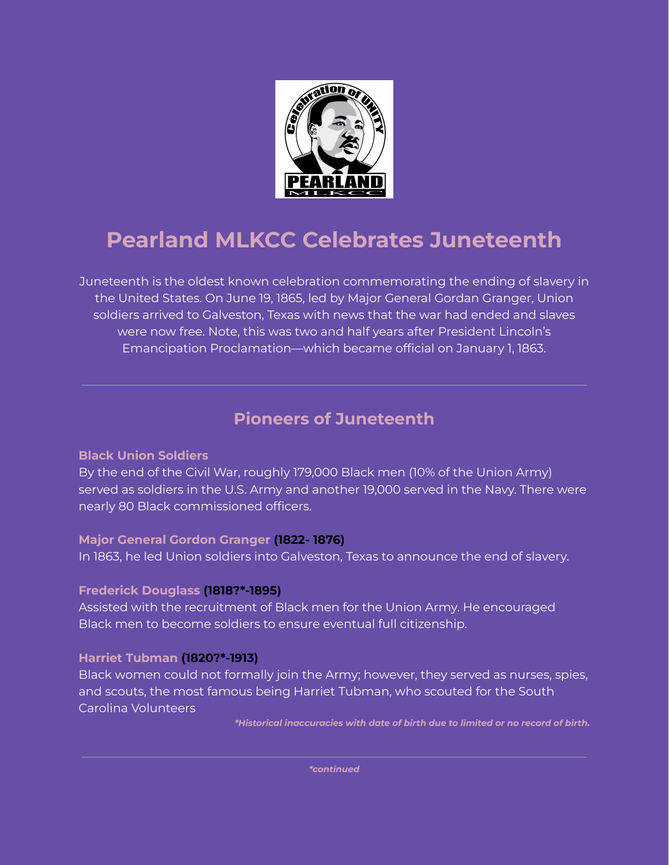

# **Pearland MLKCC Celebrates Juneteenth**

Juneteenth is the oldest known celebration commemorating the ending of slavery in the United States. On June 19, 1865, led by Major General Gordan Granger, Union soldiers arrived to Galveston, Texas with news that the war had ended and slaves were now free. Note, this was two and half years after President Lincoln's Emancipation Proclamation—which became official on January 1, 1863.

# **Pioneers of Juneteenth**

### **Black Union Soldiers**

By the end of the Civil War, roughly 179,000 Black men (10% of the Union Army) served as soldiers in the U.S. Army and another 19,000 served in the Navy. There were nearly 80 Black commissioned officers.

# **Major General Gordon Granger (1822- 1876)**

In 1863, he led Union soldiers into Galveston, Texas to announce the end of slavery.

# **Frederick Douglass (1818?\*-1895)**

Assisted with the recruitment of Black men for the Union Army. He encouraged Black men to become soldiers to ensure eventual full citizenship.

# **Harriet Tubman (1820?\*-1913)**

Black women could not formally join the Army; however, they served as nurses, spies, and scouts, the most famous being Harriet Tubman, who scouted for the South Carolina Volunteers

*\*Historical inaccuracies with date of birth due to limited or no record of birth.*